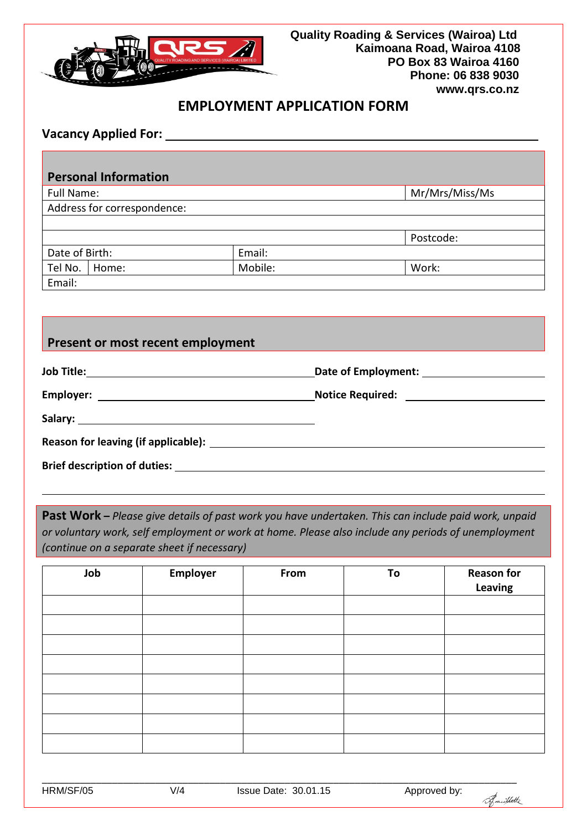

# **EMPLOYMENT APPLICATION FORM**

## **Vacancy Applied For:**

### **Personal Information**

Full Name:  $\vert$  Mr/Mrs/Miss/Ms

|                |       |         | Postcode: |
|----------------|-------|---------|-----------|
| Date of Birth: |       | Email:  |           |
| Tel No.        | Home: | Mobile: | Work:     |
| Email:         |       |         |           |

## **Present or most recent employment**

| <b>Brief description of duties: We are also considered by a state of the constant of the constant of the constant of the constant of the constant of the constant of the constant of the constant of the constant of the constan</b> |  |
|--------------------------------------------------------------------------------------------------------------------------------------------------------------------------------------------------------------------------------------|--|

**Past Work –** *Please give details of past work you have undertaken. This can include paid work, unpaid or voluntary work, self employment or work at home. Please also include any periods of unemployment (continue on a separate sheet if necessary)* 

| Job | Employer | From | To | <b>Reason for</b><br>Leaving |
|-----|----------|------|----|------------------------------|
|     |          |      |    |                              |
|     |          |      |    |                              |
|     |          |      |    |                              |
|     |          |      |    |                              |
|     |          |      |    |                              |
|     |          |      |    |                              |
|     |          |      |    |                              |
|     |          |      |    |                              |

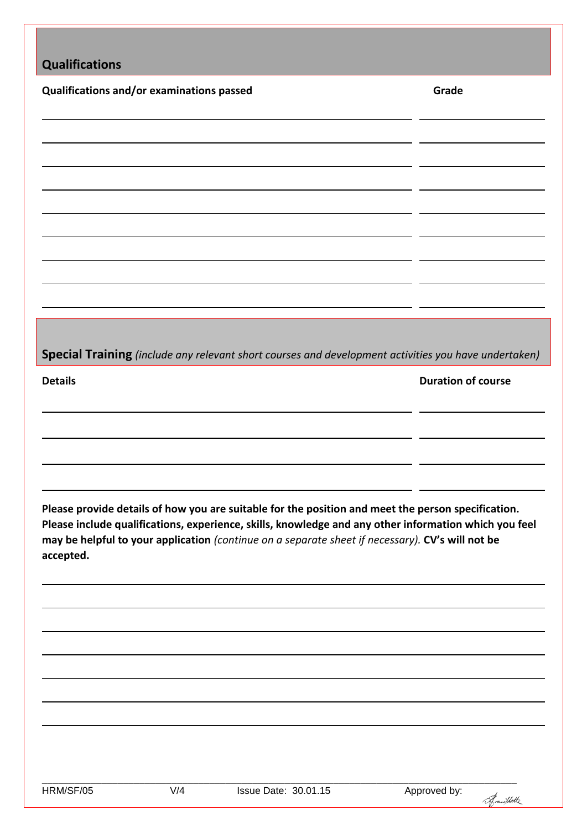| <b>Qualifications</b>                     |     |                                                                                                  |                                                                                                       |
|-------------------------------------------|-----|--------------------------------------------------------------------------------------------------|-------------------------------------------------------------------------------------------------------|
| Qualifications and/or examinations passed |     |                                                                                                  | Grade                                                                                                 |
|                                           |     |                                                                                                  |                                                                                                       |
|                                           |     |                                                                                                  |                                                                                                       |
|                                           |     |                                                                                                  |                                                                                                       |
|                                           |     |                                                                                                  |                                                                                                       |
|                                           |     |                                                                                                  |                                                                                                       |
|                                           |     |                                                                                                  |                                                                                                       |
|                                           |     |                                                                                                  |                                                                                                       |
|                                           |     |                                                                                                  |                                                                                                       |
|                                           |     |                                                                                                  |                                                                                                       |
|                                           |     |                                                                                                  |                                                                                                       |
|                                           |     |                                                                                                  | Special Training (include any relevant short courses and development activities you have undertaken)  |
| <b>Details</b>                            |     |                                                                                                  | <b>Duration of course</b>                                                                             |
|                                           |     |                                                                                                  |                                                                                                       |
|                                           |     |                                                                                                  |                                                                                                       |
|                                           |     |                                                                                                  |                                                                                                       |
|                                           |     |                                                                                                  |                                                                                                       |
|                                           |     |                                                                                                  | Please provide details of how you are suitable for the position and meet the person specification.    |
|                                           |     | may be helpful to your application (continue on a separate sheet if necessary). CV's will not be | Please include qualifications, experience, skills, knowledge and any other information which you feel |
| accepted.                                 |     |                                                                                                  |                                                                                                       |
|                                           |     |                                                                                                  |                                                                                                       |
|                                           |     |                                                                                                  |                                                                                                       |
|                                           |     |                                                                                                  |                                                                                                       |
|                                           |     |                                                                                                  |                                                                                                       |
|                                           |     |                                                                                                  |                                                                                                       |
|                                           |     |                                                                                                  |                                                                                                       |
|                                           |     |                                                                                                  |                                                                                                       |
|                                           |     |                                                                                                  |                                                                                                       |
|                                           |     |                                                                                                  |                                                                                                       |
| HRM/SF/05                                 | V/4 | Issue Date: 30.01.15                                                                             | Approved by:<br>Amillette                                                                             |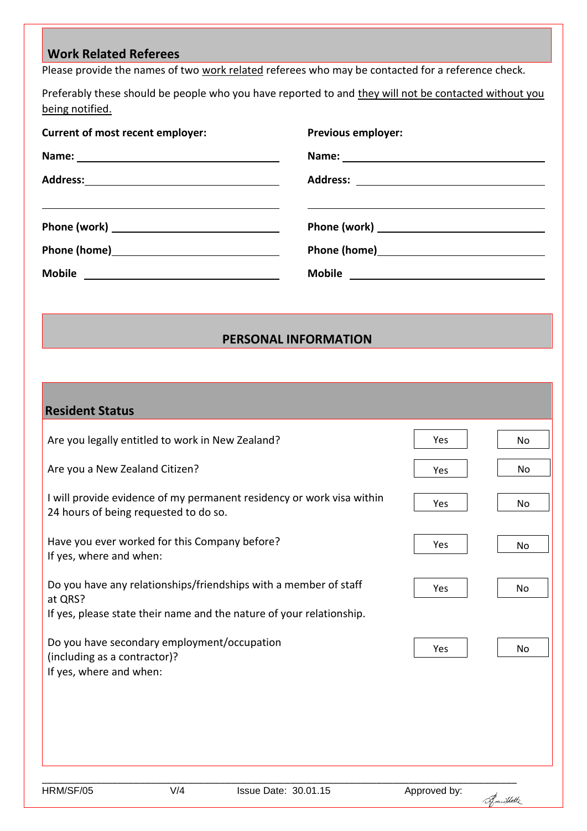## **Work Related Referees**

Please provide the names of two work related referees who may be contacted for a reference check.

Preferably these should be people who you have reported to and they will not be contacted without you being notified.

| <b>Current of most recent employer:</b> | <b>Previous employer:</b>                                                                                      |
|-----------------------------------------|----------------------------------------------------------------------------------------------------------------|
|                                         |                                                                                                                |
|                                         |                                                                                                                |
|                                         |                                                                                                                |
|                                         |                                                                                                                |
|                                         | Phone (home) 2000 2000 2010 2020 2020 2020 2021 2021 2022 2021 2021 2022 2021 2022 2021 2021 2022 2022 2022 20 |
|                                         |                                                                                                                |

### **PERSONAL INFORMATION**

| <b>Resident Status</b>                                                                                                                              |            |                |
|-----------------------------------------------------------------------------------------------------------------------------------------------------|------------|----------------|
| Are you legally entitled to work in New Zealand?                                                                                                    | <b>Yes</b> | No.            |
| Are you a New Zealand Citizen?                                                                                                                      | Yes        | N <sub>0</sub> |
| I will provide evidence of my permanent residency or work visa within<br>24 hours of being requested to do so.                                      | Yes        | No             |
| Have you ever worked for this Company before?<br>If yes, where and when:                                                                            | Yes        | N <sub>0</sub> |
| Do you have any relationships/friendships with a member of staff<br>at QRS?<br>If yes, please state their name and the nature of your relationship. | Yes        | <b>No</b>      |
| Do you have secondary employment/occupation<br>(including as a contractor)?<br>If yes, where and when:                                              | Yes        | <b>No</b>      |
|                                                                                                                                                     |            |                |

Frautlotte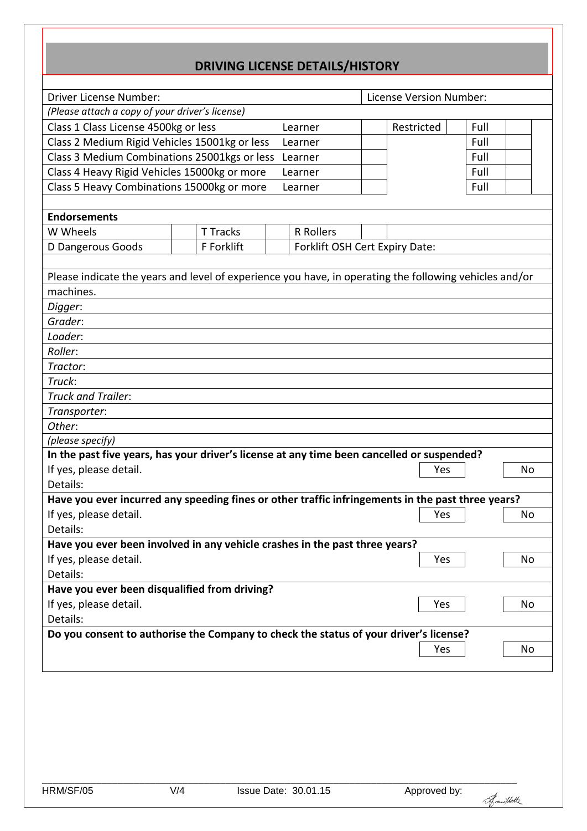# **DRIVING LICENSE DETAILS/HISTORY**

| Driver License Number:                                                                                 |                 |                  | <b>License Version Number:</b> |      |  |
|--------------------------------------------------------------------------------------------------------|-----------------|------------------|--------------------------------|------|--|
| (Please attach a copy of your driver's license)                                                        |                 |                  |                                |      |  |
| Class 1 Class License 4500kg or less<br>Learner                                                        |                 |                  | Restricted                     | Full |  |
| Class 2 Medium Rigid Vehicles 15001kg or less                                                          |                 | Learner          |                                | Full |  |
| Class 3 Medium Combinations 25001kgs or less                                                           |                 | Learner          |                                | Full |  |
| Class 4 Heavy Rigid Vehicles 15000kg or more                                                           |                 | Learner          |                                | Full |  |
| Class 5 Heavy Combinations 15000kg or more                                                             |                 | Learner          |                                | Full |  |
|                                                                                                        |                 |                  |                                |      |  |
| <b>Endorsements</b>                                                                                    |                 |                  |                                |      |  |
| W Wheels                                                                                               | <b>T</b> Tracks | <b>R</b> Rollers |                                |      |  |
| D Dangerous Goods                                                                                      | F Forklift      |                  | Forklift OSH Cert Expiry Date: |      |  |
|                                                                                                        |                 |                  |                                |      |  |
| Please indicate the years and level of experience you have, in operating the following vehicles and/or |                 |                  |                                |      |  |
| machines.                                                                                              |                 |                  |                                |      |  |
| Digger:                                                                                                |                 |                  |                                |      |  |
| Grader:                                                                                                |                 |                  |                                |      |  |
| Loader:                                                                                                |                 |                  |                                |      |  |
| Roller:                                                                                                |                 |                  |                                |      |  |
| Tractor:                                                                                               |                 |                  |                                |      |  |
| Truck:                                                                                                 |                 |                  |                                |      |  |
| <b>Truck and Trailer:</b>                                                                              |                 |                  |                                |      |  |
| Transporter:                                                                                           |                 |                  |                                |      |  |
| Other:                                                                                                 |                 |                  |                                |      |  |
| (please specify)                                                                                       |                 |                  |                                |      |  |
| In the past five years, has your driver's license at any time been cancelled or suspended?             |                 |                  |                                |      |  |
| If yes, please detail.                                                                                 |                 |                  | Yes                            | No   |  |
| Details:                                                                                               |                 |                  |                                |      |  |
| Have you ever incurred any speeding fines or other traffic infringements in the past three years?      |                 |                  |                                |      |  |
| If yes, please detail.                                                                                 |                 |                  | Yes                            | No   |  |
| Details:                                                                                               |                 |                  |                                |      |  |
| Have you ever been involved in any vehicle crashes in the past three years?                            |                 |                  |                                |      |  |
| If yes, please detail.<br>Yes                                                                          |                 |                  | No.                            |      |  |
| Details:                                                                                               |                 |                  |                                |      |  |
| Have you ever been disqualified from driving?                                                          |                 |                  |                                |      |  |
| If yes, please detail.<br>Yes                                                                          |                 |                  | No                             |      |  |
| Details:                                                                                               |                 |                  |                                |      |  |
| Do you consent to authorise the Company to check the status of your driver's license?                  |                 |                  |                                |      |  |
|                                                                                                        |                 |                  | Yes                            | No   |  |
|                                                                                                        |                 |                  |                                |      |  |

Franklith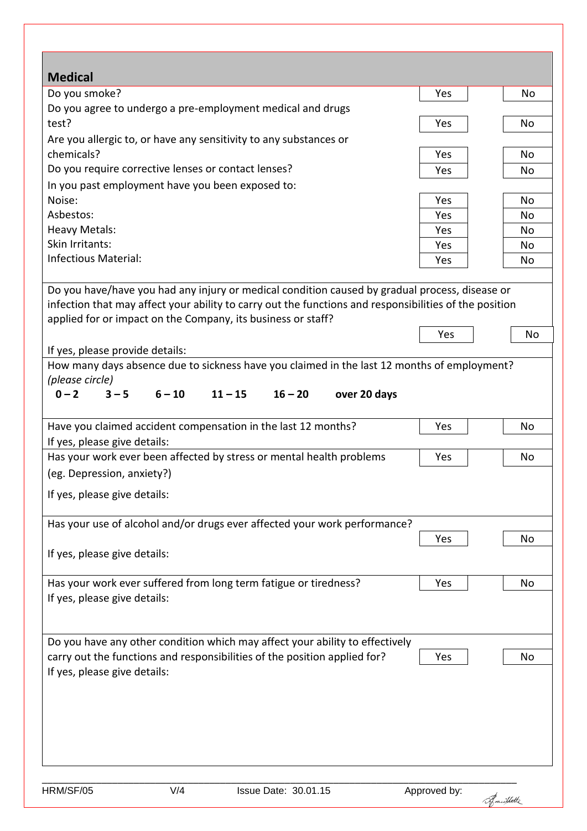| <b>Medical</b>                                                                                         |     |    |
|--------------------------------------------------------------------------------------------------------|-----|----|
| Do you smoke?                                                                                          | Yes | No |
| Do you agree to undergo a pre-employment medical and drugs                                             |     |    |
| test?                                                                                                  | Yes | No |
| Are you allergic to, or have any sensitivity to any substances or                                      |     |    |
| chemicals?<br>Do you require corrective lenses or contact lenses?                                      | Yes | No |
| In you past employment have you been exposed to:                                                       | Yes | No |
| Noise:                                                                                                 | Yes | No |
| Asbestos:                                                                                              | Yes | No |
| <b>Heavy Metals:</b>                                                                                   | Yes | No |
| Skin Irritants:                                                                                        | Yes | No |
| Infectious Material:                                                                                   | Yes | No |
|                                                                                                        |     |    |
| Do you have/have you had any injury or medical condition caused by gradual process, disease or         |     |    |
| infection that may affect your ability to carry out the functions and responsibilities of the position |     |    |
| applied for or impact on the Company, its business or staff?                                           | Yes | No |
| If yes, please provide details:                                                                        |     |    |
| How many days absence due to sickness have you claimed in the last 12 months of employment?            |     |    |
| (please circle)                                                                                        |     |    |
| $0 - 2$<br>$3 - 5$<br>$6 - 10$<br>$11 - 15$<br>$16 - 20$<br>over 20 days                               |     |    |
|                                                                                                        |     |    |
| Have you claimed accident compensation in the last 12 months?                                          | Yes | No |
| If yes, please give details:                                                                           |     |    |
| Has your work ever been affected by stress or mental health problems                                   | Yes | No |
| (eg. Depression, anxiety?)                                                                             |     |    |
| If yes, please give details:                                                                           |     |    |
|                                                                                                        |     |    |
| Has your use of alcohol and/or drugs ever affected your work performance?                              |     |    |
|                                                                                                        | Yes | No |
| If yes, please give details:                                                                           |     |    |
| Has your work ever suffered from long term fatigue or tiredness?                                       | Yes | No |
| If yes, please give details:                                                                           |     |    |
|                                                                                                        |     |    |
|                                                                                                        |     |    |
| Do you have any other condition which may affect your ability to effectively                           |     |    |
| carry out the functions and responsibilities of the position applied for?                              | Yes | No |
| If yes, please give details:                                                                           |     |    |
|                                                                                                        |     |    |
|                                                                                                        |     |    |
|                                                                                                        |     |    |
|                                                                                                        |     |    |
|                                                                                                        |     |    |
|                                                                                                        |     |    |

Frautlotte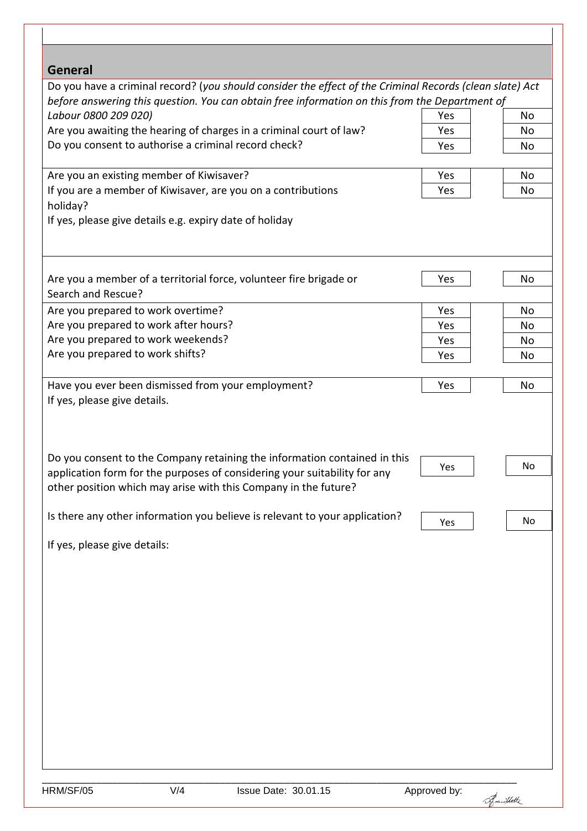| <b>General</b>                                                                                                                                                                                                            |              |            |
|---------------------------------------------------------------------------------------------------------------------------------------------------------------------------------------------------------------------------|--------------|------------|
| Do you have a criminal record? (you should consider the effect of the Criminal Records (clean slate) Act<br>before answering this question. You can obtain free information on this from the Department of                |              |            |
| Labour 0800 209 020)                                                                                                                                                                                                      | Yes          | No         |
| Are you awaiting the hearing of charges in a criminal court of law?                                                                                                                                                       | Yes          | No         |
| Do you consent to authorise a criminal record check?                                                                                                                                                                      | Yes          | No         |
| Are you an existing member of Kiwisaver?                                                                                                                                                                                  | Yes          | No         |
| If you are a member of Kiwisaver, are you on a contributions<br>holiday?                                                                                                                                                  | Yes          | No         |
| If yes, please give details e.g. expiry date of holiday                                                                                                                                                                   |              |            |
|                                                                                                                                                                                                                           |              |            |
| Are you a member of a territorial force, volunteer fire brigade or<br>Search and Rescue?                                                                                                                                  | Yes          | No         |
| Are you prepared to work overtime?                                                                                                                                                                                        | Yes          | No         |
| Are you prepared to work after hours?                                                                                                                                                                                     | Yes          | No         |
| Are you prepared to work weekends?                                                                                                                                                                                        | Yes          | No         |
| Are you prepared to work shifts?                                                                                                                                                                                          | Yes          | No         |
| Have you ever been dismissed from your employment?<br>If yes, please give details.                                                                                                                                        | Yes          | No         |
| Do you consent to the Company retaining the information contained in this<br>application form for the purposes of considering your suitability for any<br>other position which may arise with this Company in the future? | Yes          | No         |
| Is there any other information you believe is relevant to your application?                                                                                                                                               | Yes          | No         |
| If yes, please give details:                                                                                                                                                                                              |              |            |
|                                                                                                                                                                                                                           |              |            |
| V/4<br>HRM/SF/05<br>Issue Date: 30.01.15                                                                                                                                                                                  | Approved by: | Frautbotte |